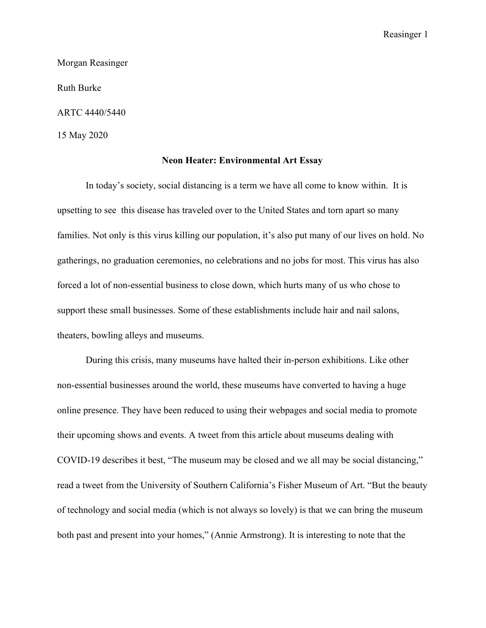Reasinger 1

Morgan Reasinger

Ruth Burke

ARTC 4440/5440

15 May 2020

## **Neon Heater: Environmental Art Essay**

In today's society, social distancing is a term we have all come to know within. It is upsetting to see this disease has traveled over to the United States and torn apart so many families. Not only is this virus killing our population, it's also put many of our lives on hold. No gatherings, no graduation ceremonies, no celebrations and no jobs for most. This virus has also forced a lot of non-essential business to close down, which hurts many of us who chose to support these small businesses. Some of these establishments include hair and nail salons, theaters, bowling alleys and museums.

During this crisis, many museums have halted their in-person exhibitions. Like other non-essential businesses around the world, these museums have converted to having a huge online presence. They have been reduced to using their webpages and social media to promote their upcoming shows and events. A tweet from this article about museums dealing with COVID-19 describes it best, "The museum may be closed and we all may be social distancing," read a [tweet](https://twitter.com/fishermuseum/status/1239622235393904644) from the University of Southern California's Fisher Museum of Art. "But the beauty of technology and social media (which is not always so lovely) is that we can bring the museum both past and present into your homes," (Annie Armstrong). It is interesting to note that the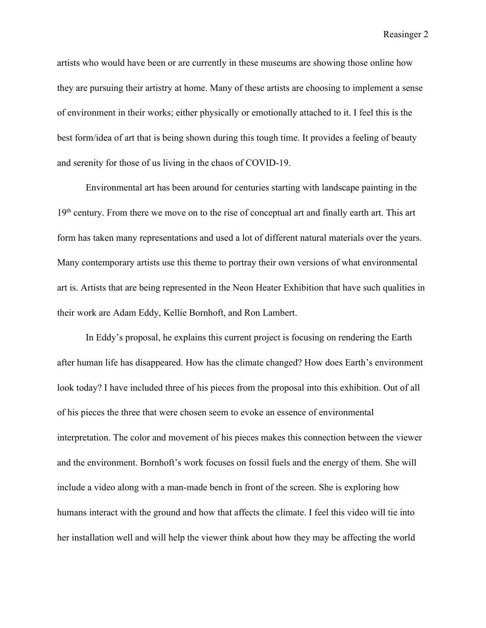Reasinger 2

artists who would have been or are currently in these museums are showing those online how they are pursuing their artistry at home. Many of these artists are choosing to implement a sense of environment in their works; either physically or emotionally attached to it. I feel this is the best form/idea of art that is being shown during this tough time. It provides a feeling of beauty and serenity for those of us living in the chaos of COVID-19.

Environmental art has been around for centuries starting with landscape painting in the 19<sup>th</sup> century. From there we move on to the rise of conceptual art and finally earth art. This art form has taken many representations and used a lot of different natural materials over the years. Many contemporary artists use this theme to portray their own versions of what environmental art is. Artists that are being represented in the Neon Heater Exhibition that have such qualities in their work are Adam Eddy, Kellie Bornhoft, and Ron Lambert.

In Eddy's proposal, he explains this current project is focusing on rendering the Earth after human life has disappeared. How has the climate changed? How does Earth's environment look today? I have included three of his pieces from the proposal into this exhibition. Out of all of his pieces the three that were chosen seem to evoke an essence of environmental interpretation. The color and movement of his pieces makes this connection between the viewer and the environment. Bornhoft's work focuses on fossil fuels and the energy of them. She will include a video along with a man-made bench in front of the screen. She is exploring how humans interact with the ground and how that affects the climate. I feel this video will tie into her installation well and will help the viewer think about how they may be affecting the world